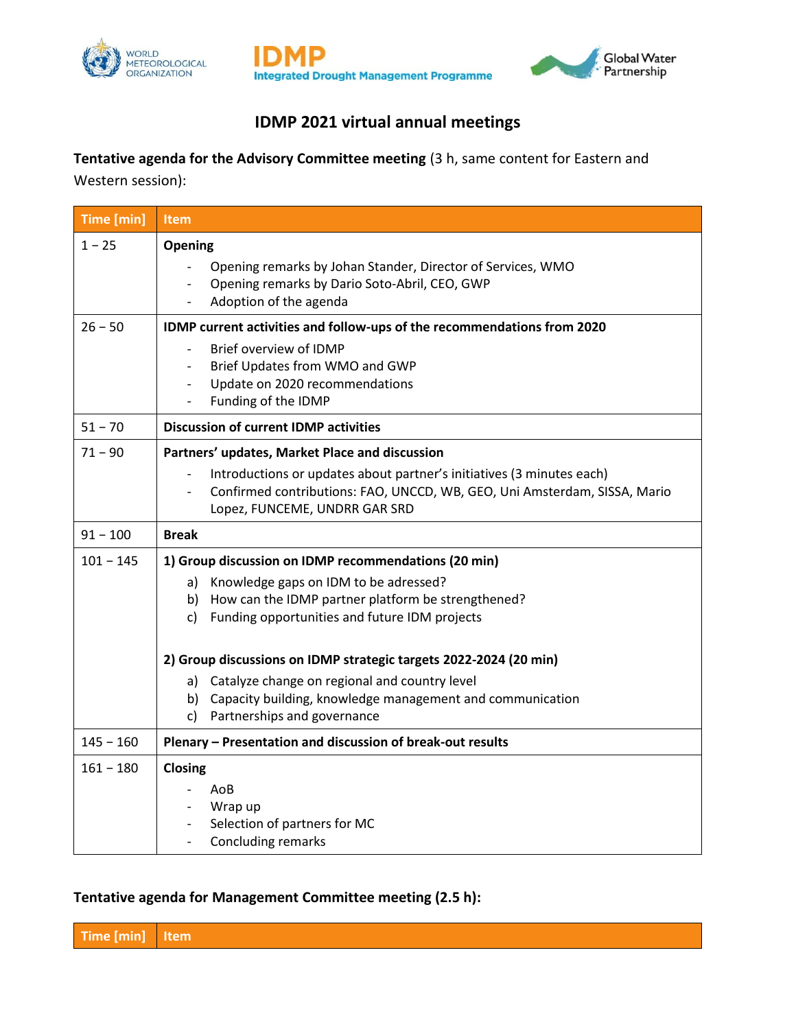





## **IDMP 2021 virtual annual meetings**

**Tentative agenda for the Advisory Committee meeting** (3 h, same content for Eastern and

Western session):

| Time [min]  | Item                                                                                                                                                                                                                                  |
|-------------|---------------------------------------------------------------------------------------------------------------------------------------------------------------------------------------------------------------------------------------|
| $1 - 25$    | Opening<br>Opening remarks by Johan Stander, Director of Services, WMO<br>Opening remarks by Dario Soto-Abril, CEO, GWP<br>Adoption of the agenda                                                                                     |
| $26 - 50$   | IDMP current activities and follow-ups of the recommendations from 2020<br>Brief overview of IDMP<br>$\blacksquare$<br>Brief Updates from WMO and GWP<br>Update on 2020 recommendations<br>Funding of the IDMP                        |
| $51 - 70$   | <b>Discussion of current IDMP activities</b>                                                                                                                                                                                          |
| $71 - 90$   | Partners' updates, Market Place and discussion<br>Introductions or updates about partner's initiatives (3 minutes each)<br>Confirmed contributions: FAO, UNCCD, WB, GEO, Uni Amsterdam, SISSA, Mario<br>Lopez, FUNCEME, UNDRR GAR SRD |
| $91 - 100$  | <b>Break</b>                                                                                                                                                                                                                          |
| $101 - 145$ | 1) Group discussion on IDMP recommendations (20 min)<br>Knowledge gaps on IDM to be adressed?<br>a)<br>b) How can the IDMP partner platform be strengthened?<br>Funding opportunities and future IDM projects<br>$\mathsf{c}$         |
|             | 2) Group discussions on IDMP strategic targets 2022-2024 (20 min)                                                                                                                                                                     |
|             | a) Catalyze change on regional and country level<br>b) Capacity building, knowledge management and communication<br>c) Partnerships and governance                                                                                    |
| $145 - 160$ | Plenary - Presentation and discussion of break-out results                                                                                                                                                                            |
| $161 - 180$ | Closing<br>AoB<br>Wrap up<br>Selection of partners for MC<br>Concluding remarks                                                                                                                                                       |

## **Tentative agenda for Management Committee meeting (2.5 h):**

**Time [min] Item**